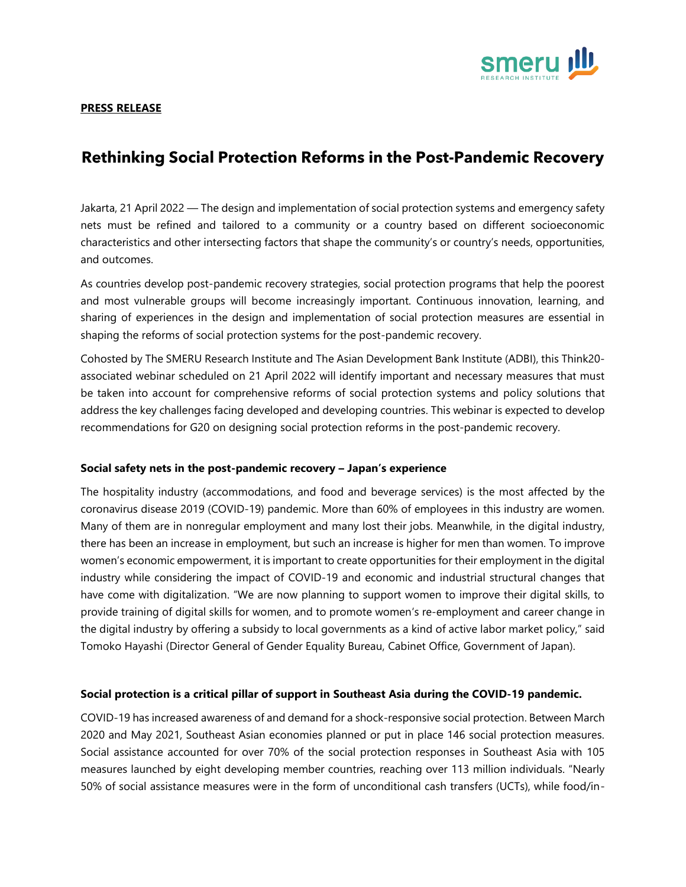

### **PRESS RELEASE**

# **Rethinking Social Protection Reforms in the Post-Pandemic Recovery**

Jakarta, 21 April 2022 — The design and implementation of social protection systems and emergency safety nets must be refined and tailored to a community or a country based on different socioeconomic characteristics and other intersecting factors that shape the community's or country's needs, opportunities, and outcomes.

As countries develop post-pandemic recovery strategies, social protection programs that help the poorest and most vulnerable groups will become increasingly important. Continuous innovation, learning, and sharing of experiences in the design and implementation of social protection measures are essential in shaping the reforms of social protection systems for the post-pandemic recovery.

Cohosted by The SMERU Research Institute and The Asian Development Bank Institute (ADBI), this Think20 associated webinar scheduled on 21 April 2022 will identify important and necessary measures that must be taken into account for comprehensive reforms of social protection systems and policy solutions that address the key challenges facing developed and developing countries. This webinar is expected to develop recommendations for G20 on designing social protection reforms in the post-pandemic recovery.

### **Social safety nets in the post-pandemic recovery – Japan's experience**

The hospitality industry (accommodations, and food and beverage services) is the most affected by the coronavirus disease 2019 (COVID-19) pandemic. More than 60% of employees in this industry are women. Many of them are in nonregular employment and many lost their jobs. Meanwhile, in the digital industry, there has been an increase in employment, but such an increase is higher for men than women. To improve women's economic empowerment, it is important to create opportunities for their employment in the digital industry while considering the impact of COVID-19 and economic and industrial structural changes that have come with digitalization. "We are now planning to support women to improve their digital skills, to provide training of digital skills for women, and to promote women's re-employment and career change in the digital industry by offering a subsidy to local governments as a kind of active labor market policy," said Tomoko Hayashi (Director General of Gender Equality Bureau, Cabinet Office, Government of Japan).

### **Social protection is a critical pillar of support in Southeast Asia during the COVID-19 pandemic.**

COVID-19 has increased awareness of and demand for a shock-responsive social protection. Between March 2020 and May 2021, Southeast Asian economies planned or put in place 146 social protection measures. Social assistance accounted for over 70% of the social protection responses in Southeast Asia with 105 measures launched by eight developing member countries, reaching over 113 million individuals. "Nearly 50% of social assistance measures were in the form of unconditional cash transfers (UCTs), while food/in-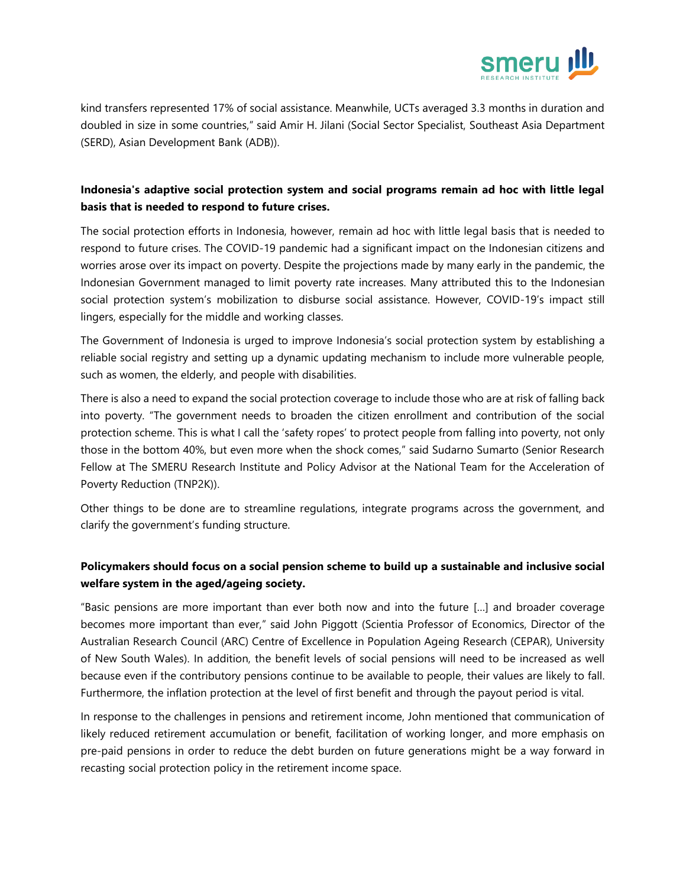

kind transfers represented 17% of social assistance. Meanwhile, UCTs averaged 3.3 months in duration and doubled in size in some countries," said Amir H. Jilani (Social Sector Specialist, Southeast Asia Department (SERD), Asian Development Bank (ADB)).

# **Indonesia's adaptive social protection system and social programs remain ad hoc with little legal basis that is needed to respond to future crises.**

The social protection efforts in Indonesia, however, remain ad hoc with little legal basis that is needed to respond to future crises. The COVID-19 pandemic had a significant impact on the Indonesian citizens and worries arose over its impact on poverty. Despite the projections made by many early in the pandemic, the Indonesian Government managed to limit poverty rate increases. Many attributed this to the Indonesian social protection system's mobilization to disburse social assistance. However, COVID-19's impact still lingers, especially for the middle and working classes.

The Government of Indonesia is urged to improve Indonesia's social protection system by establishing a reliable social registry and setting up a dynamic updating mechanism to include more vulnerable people, such as women, the elderly, and people with disabilities.

There is also a need to expand the social protection coverage to include those who are at risk of falling back into poverty. "The government needs to broaden the citizen enrollment and contribution of the social protection scheme. This is what I call the 'safety ropes' to protect people from falling into poverty, not only those in the bottom 40%, but even more when the shock comes," said Sudarno Sumarto (Senior Research Fellow at The SMERU Research Institute and Policy Advisor at the National Team for the Acceleration of Poverty Reduction (TNP2K)).

Other things to be done are to streamline regulations, integrate programs across the government, and clarify the government's funding structure.

# **Policymakers should focus on a social pension scheme to build up a sustainable and inclusive social welfare system in the aged/ageing society.**

"Basic pensions are more important than ever both now and into the future […] and broader coverage becomes more important than ever," said John Piggott (Scientia Professor of Economics, Director of the Australian Research Council (ARC) Centre of Excellence in Population Ageing Research (CEPAR), University of New South Wales). In addition, the benefit levels of social pensions will need to be increased as well because even if the contributory pensions continue to be available to people, their values are likely to fall. Furthermore, the inflation protection at the level of first benefit and through the payout period is vital.

In response to the challenges in pensions and retirement income, John mentioned that communication of likely reduced retirement accumulation or benefit, facilitation of working longer, and more emphasis on pre-paid pensions in order to reduce the debt burden on future generations might be a way forward in recasting social protection policy in the retirement income space.